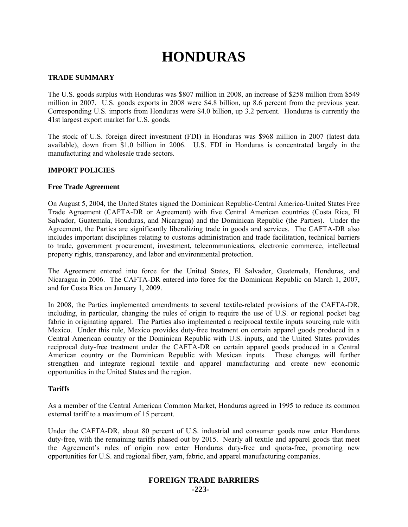# **HONDURAS**

# **TRADE SUMMARY**

The U.S. goods surplus with Honduras was \$807 million in 2008, an increase of \$258 million from \$549 million in 2007. U.S. goods exports in 2008 were \$4.8 billion, up 8.6 percent from the previous year. Corresponding U.S. imports from Honduras were \$4.0 billion, up 3.2 percent. Honduras is currently the 41st largest export market for U.S. goods.

The stock of U.S. foreign direct investment (FDI) in Honduras was \$968 million in 2007 (latest data available), down from \$1.0 billion in 2006. U.S. FDI in Honduras is concentrated largely in the manufacturing and wholesale trade sectors.

# **IMPORT POLICIES**

# **Free Trade Agreement**

On August 5, 2004, the United States signed the Dominican Republic-Central America-United States Free Trade Agreement (CAFTA-DR or Agreement) with five Central American countries (Costa Rica, El Salvador, Guatemala, Honduras, and Nicaragua) and the Dominican Republic (the Parties). Under the Agreement, the Parties are significantly liberalizing trade in goods and services. The CAFTA-DR also includes important disciplines relating to customs administration and trade facilitation, technical barriers to trade, government procurement, investment, telecommunications, electronic commerce, intellectual property rights, transparency, and labor and environmental protection.

The Agreement entered into force for the United States, El Salvador, Guatemala, Honduras, and Nicaragua in 2006. The CAFTA-DR entered into force for the Dominican Republic on March 1, 2007, and for Costa Rica on January 1, 2009.

In 2008, the Parties implemented amendments to several textile-related provisions of the CAFTA-DR, including, in particular, changing the rules of origin to require the use of U.S. or regional pocket bag fabric in originating apparel. The Parties also implemented a reciprocal textile inputs sourcing rule with Mexico. Under this rule, Mexico provides duty-free treatment on certain apparel goods produced in a Central American country or the Dominican Republic with U.S. inputs, and the United States provides reciprocal duty-free treatment under the CAFTA-DR on certain apparel goods produced in a Central American country or the Dominican Republic with Mexican inputs. These changes will further strengthen and integrate regional textile and apparel manufacturing and create new economic opportunities in the United States and the region.

# **Tariffs**

As a member of the Central American Common Market, Honduras agreed in 1995 to reduce its common external tariff to a maximum of 15 percent.

Under the CAFTA-DR, about 80 percent of U.S. industrial and consumer goods now enter Honduras duty-free, with the remaining tariffs phased out by 2015. Nearly all textile and apparel goods that meet the Agreement's rules of origin now enter Honduras duty-free and quota-free, promoting new opportunities for U.S. and regional fiber, yarn, fabric, and apparel manufacturing companies.

# **FOREIGN TRADE BARRIERS -223-**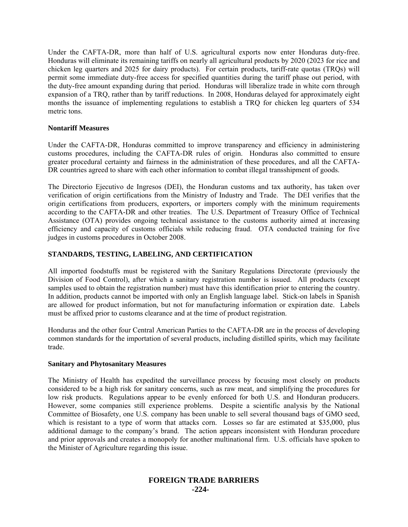Under the CAFTA-DR, more than half of U.S. agricultural exports now enter Honduras duty-free. Honduras will eliminate its remaining tariffs on nearly all agricultural products by 2020 (2023 for rice and chicken leg quarters and 2025 for dairy products). For certain products, tariff-rate quotas (TRQs) will permit some immediate duty-free access for specified quantities during the tariff phase out period, with the duty-free amount expanding during that period. Honduras will liberalize trade in white corn through expansion of a TRQ, rather than by tariff reductions. In 2008, Honduras delayed for approximately eight months the issuance of implementing regulations to establish a TRQ for chicken leg quarters of 534 metric tons.

# **Nontariff Measures**

Under the CAFTA-DR, Honduras committed to improve transparency and efficiency in administering customs procedures, including the CAFTA-DR rules of origin. Honduras also committed to ensure greater procedural certainty and fairness in the administration of these procedures, and all the CAFTA-DR countries agreed to share with each other information to combat illegal transshipment of goods.

The Directorio Ejecutivo de Ingresos (DEI), the Honduran customs and tax authority, has taken over verification of origin certifications from the Ministry of Industry and Trade. The DEI verifies that the origin certifications from producers, exporters, or importers comply with the minimum requirements according to the CAFTA-DR and other treaties. The U.S. Department of Treasury Office of Technical Assistance (OTA) provides ongoing technical assistance to the customs authority aimed at increasing efficiency and capacity of customs officials while reducing fraud. OTA conducted training for five judges in customs procedures in October 2008.

# **STANDARDS, TESTING, LABELING, AND CERTIFICATION**

All imported foodstuffs must be registered with the Sanitary Regulations Directorate (previously the Division of Food Control), after which a sanitary registration number is issued. All products (except samples used to obtain the registration number) must have this identification prior to entering the country. In addition, products cannot be imported with only an English language label. Stick-on labels in Spanish are allowed for product information, but not for manufacturing information or expiration date. Labels must be affixed prior to customs clearance and at the time of product registration.

Honduras and the other four Central American Parties to the CAFTA-DR are in the process of developing common standards for the importation of several products, including distilled spirits, which may facilitate trade.

# **Sanitary and Phytosanitary Measures**

The Ministry of Health has expedited the surveillance process by focusing most closely on products considered to be a high risk for sanitary concerns, such as raw meat, and simplifying the procedures for low risk products. Regulations appear to be evenly enforced for both U.S. and Honduran producers. However, some companies still experience problems. Despite a scientific analysis by the National Committee of Biosafety, one U.S. company has been unable to sell several thousand bags of GMO seed, which is resistant to a type of worm that attacks corn. Losses so far are estimated at \$35,000, plus additional damage to the company's brand. The action appears inconsistent with Honduran procedure and prior approvals and creates a monopoly for another multinational firm. U.S. officials have spoken to the Minister of Agriculture regarding this issue.

# **FOREIGN TRADE BARRIERS -224-**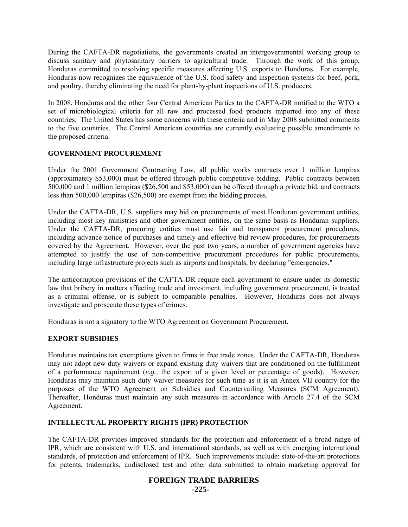During the CAFTA-DR negotiations, the governments created an intergovernmental working group to discuss sanitary and phytosanitary barriers to agricultural trade. Through the work of this group, Honduras committed to resolving specific measures affecting U.S. exports to Honduras. For example, Honduras now recognizes the equivalence of the U.S. food safety and inspection systems for beef, pork, and poultry, thereby eliminating the need for plant-by-plant inspections of U.S. producers.

In 2008, Honduras and the other four Central American Parties to the CAFTA-DR notified to the WTO a set of microbiological criteria for all raw and processed food products imported into any of these countries. The United States has some concerns with these criteria and in May 2008 submitted comments to the five countries. The Central American countries are currently evaluating possible amendments to the proposed criteria.

# **GOVERNMENT PROCUREMENT**

Under the 2001 Government Contracting Law, all public works contracts over 1 million lempiras (approximately \$53,000) must be offered through public competitive bidding. Public contracts between 500,000 and 1 million lempiras (\$26,500 and \$53,000) can be offered through a private bid, and contracts less than 500,000 lempiras (\$26,500) are exempt from the bidding process.

Under the CAFTA-DR, U.S. suppliers may bid on procurements of most Honduran government entities, including most key ministries and other government entities, on the same basis as Honduran suppliers. Under the CAFTA-DR, procuring entities must use fair and transparent procurement procedures, including advance notice of purchases and timely and effective bid review procedures, for procurements covered by the Agreement. However, over the past two years, a number of government agencies have attempted to justify the use of non-competitive procurement procedures for public procurements, including large infrastructure projects such as airports and hospitals, by declaring "emergencies."

The anticorruption provisions of the CAFTA-DR require each government to ensure under its domestic law that bribery in matters affecting trade and investment, including government procurement, is treated as a criminal offense, or is subject to comparable penalties. However, Honduras does not always investigate and prosecute these types of crimes.

Honduras is not a signatory to the WTO Agreement on Government Procurement.

# **EXPORT SUBSIDIES**

Honduras maintains tax exemptions given to firms in free trade zones. Under the CAFTA-DR, Honduras may not adopt new duty waivers or expand existing duty waivers that are conditioned on the fulfillment of a performance requirement (*e.g.*, the export of a given level or percentage of goods). However, Honduras may maintain such duty waiver measures for such time as it is an Annex VII country for the purposes of the WTO Agreement on Subsidies and Countervailing Measures (SCM Agreement). Thereafter, Honduras must maintain any such measures in accordance with Article 27.4 of the SCM Agreement.

# **INTELLECTUAL PROPERTY RIGHTS (IPR) PROTECTION**

The CAFTA-DR provides improved standards for the protection and enforcement of a broad range of IPR, which are consistent with U.S. and international standards, as well as with emerging international standards, of protection and enforcement of IPR. Such improvements include: state-of-the-art protections for patents, trademarks, undisclosed test and other data submitted to obtain marketing approval for

# **FOREIGN TRADE BARRIERS**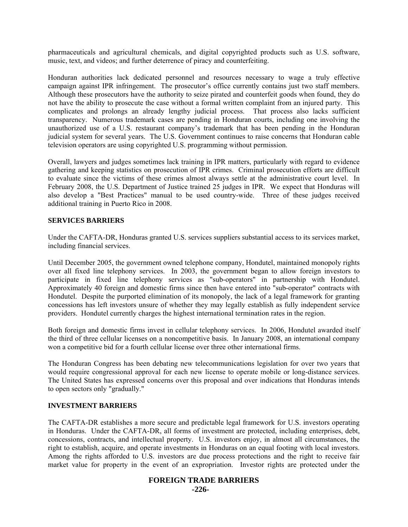pharmaceuticals and agricultural chemicals, and digital copyrighted products such as U.S. software, music, text, and videos; and further deterrence of piracy and counterfeiting.

Honduran authorities lack dedicated personnel and resources necessary to wage a truly effective campaign against IPR infringement. The prosecutor's office currently contains just two staff members. Although these prosecutors have the authority to seize pirated and counterfeit goods when found, they do not have the ability to prosecute the case without a formal written complaint from an injured party. This complicates and prolongs an already lengthy judicial process. That process also lacks sufficient transparency. Numerous trademark cases are pending in Honduran courts, including one involving the unauthorized use of a U.S. restaurant company's trademark that has been pending in the Honduran judicial system for several years. The U.S. Government continues to raise concerns that Honduran cable television operators are using copyrighted U.S. programming without permission.

Overall, lawyers and judges sometimes lack training in IPR matters, particularly with regard to evidence gathering and keeping statistics on prosecution of IPR crimes. Criminal prosecution efforts are difficult to evaluate since the victims of these crimes almost always settle at the administrative court level. In February 2008, the U.S. Department of Justice trained 25 judges in IPR. We expect that Honduras will also develop a "Best Practices" manual to be used country-wide. Three of these judges received additional training in Puerto Rico in 2008.

#### **SERVICES BARRIERS**

Under the CAFTA-DR, Honduras granted U.S. services suppliers substantial access to its services market, including financial services.

Until December 2005, the government owned telephone company, Hondutel, maintained monopoly rights over all fixed line telephony services. In 2003, the government began to allow foreign investors to participate in fixed line telephony services as "sub-operators" in partnership with Hondutel. Approximately 40 foreign and domestic firms since then have entered into "sub-operator" contracts with Hondutel. Despite the purported elimination of its monopoly, the lack of a legal framework for granting concessions has left investors unsure of whether they may legally establish as fully independent service providers. Hondutel currently charges the highest international termination rates in the region.

Both foreign and domestic firms invest in cellular telephony services. In 2006, Hondutel awarded itself the third of three cellular licenses on a noncompetitive basis. In January 2008, an international company won a competitive bid for a fourth cellular license over three other international firms.

The Honduran Congress has been debating new telecommunications legislation for over two years that would require congressional approval for each new license to operate mobile or long-distance services. The United States has expressed concerns over this proposal and over indications that Honduras intends to open sectors only "gradually."

#### **INVESTMENT BARRIERS**

The CAFTA-DR establishes a more secure and predictable legal framework for U.S. investors operating in Honduras. Under the CAFTA-DR, all forms of investment are protected, including enterprises, debt, concessions, contracts, and intellectual property. U.S. investors enjoy, in almost all circumstances, the right to establish, acquire, and operate investments in Honduras on an equal footing with local investors. Among the rights afforded to U.S. investors are due process protections and the right to receive fair market value for property in the event of an expropriation. Investor rights are protected under the

# **FOREIGN TRADE BARRIERS**

**-226-**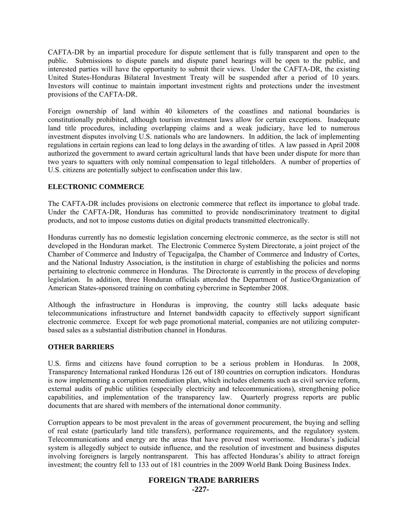CAFTA-DR by an impartial procedure for dispute settlement that is fully transparent and open to the public. Submissions to dispute panels and dispute panel hearings will be open to the public, and interested parties will have the opportunity to submit their views. Under the CAFTA-DR, the existing United States-Honduras Bilateral Investment Treaty will be suspended after a period of 10 years. Investors will continue to maintain important investment rights and protections under the investment provisions of the CAFTA-DR.

Foreign ownership of land within 40 kilometers of the coastlines and national boundaries is constitutionally prohibited, although tourism investment laws allow for certain exceptions. Inadequate land title procedures, including overlapping claims and a weak judiciary, have led to numerous investment disputes involving U.S. nationals who are landowners. In addition, the lack of implementing regulations in certain regions can lead to long delays in the awarding of titles. A law passed in April 2008 authorized the government to award certain agricultural lands that have been under dispute for more than two years to squatters with only nominal compensation to legal titleholders. A number of properties of U.S. citizens are potentially subject to confiscation under this law.

# **ELECTRONIC COMMERCE**

The CAFTA-DR includes provisions on electronic commerce that reflect its importance to global trade. Under the CAFTA-DR, Honduras has committed to provide nondiscriminatory treatment to digital products, and not to impose customs duties on digital products transmitted electronically.

Honduras currently has no domestic legislation concerning electronic commerce, as the sector is still not developed in the Honduran market. The Electronic Commerce System Directorate, a joint project of the Chamber of Commerce and Industry of Tegucigalpa, the Chamber of Commerce and Industry of Cortes, and the National Industry Association, is the institution in charge of establishing the policies and norms pertaining to electronic commerce in Honduras. The Directorate is currently in the process of developing legislation. In addition, three Honduran officials attended the Department of Justice/Organization of American States-sponsored training on combating cybercrime in September 2008.

Although the infrastructure in Honduras is improving, the country still lacks adequate basic telecommunications infrastructure and Internet bandwidth capacity to effectively support significant electronic commerce. Except for web page promotional material, companies are not utilizing computerbased sales as a substantial distribution channel in Honduras.

# **OTHER BARRIERS**

U.S. firms and citizens have found corruption to be a serious problem in Honduras. In 2008, Transparency International ranked Honduras 126 out of 180 countries on corruption indicators. Honduras is now implementing a corruption remediation plan, which includes elements such as civil service reform, external audits of public utilities (especially electricity and telecommunications), strengthening police capabilities, and implementation of the transparency law. Quarterly progress reports are public documents that are shared with members of the international donor community.

Corruption appears to be most prevalent in the areas of government procurement, the buying and selling of real estate (particularly land title transfers), performance requirements, and the regulatory system. Telecommunications and energy are the areas that have proved most worrisome. Honduras's judicial system is allegedly subject to outside influence, and the resolution of investment and business disputes involving foreigners is largely nontransparent. This has affected Honduras's ability to attract foreign investment; the country fell to 133 out of 181 countries in the 2009 World Bank Doing Business Index.

# **FOREIGN TRADE BARRIERS**